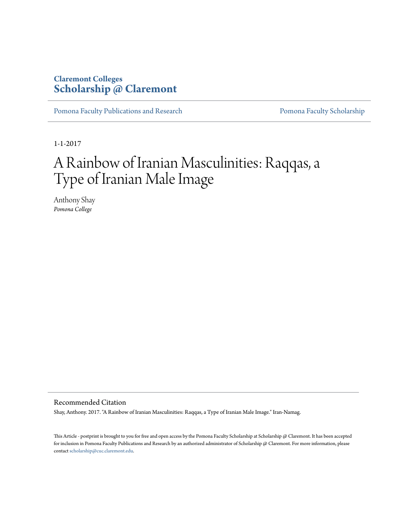## **Claremont Colleges [Scholarship @ Claremont](http://scholarship.claremont.edu)**

[Pomona Faculty Publications and Research](http://scholarship.claremont.edu/pomona_fac_pub) [Pomona Faculty Scholarship](http://scholarship.claremont.edu/pomona_faculty)

1-1-2017

# A Rainbow of Iranian Masculinities: Raqqas, a Type of Iranian Male Image

Anthony Shay *Pomona College*

Recommended Citation

Shay, Anthony. 2017. "A Rainbow of Iranian Masculinities: Raqqas, a Type of Iranian Male Image." Iran-Namag.

This Article - postprint is brought to you for free and open access by the Pomona Faculty Scholarship at Scholarship @ Claremont. It has been accepted for inclusion in Pomona Faculty Publications and Research by an authorized administrator of Scholarship @ Claremont. For more information, please contact [scholarship@cuc.claremont.edu](mailto:scholarship@cuc.claremont.edu).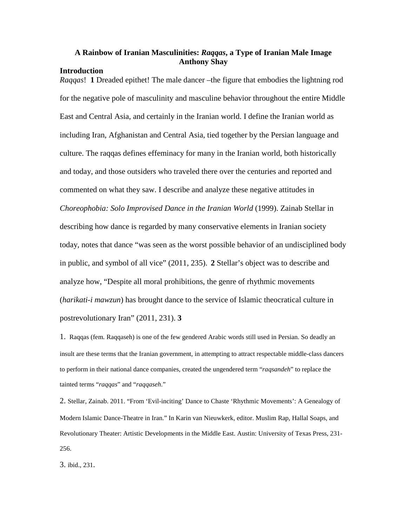### **A Rainbow of Iranian Masculinities:** *Raqqas***, a Type of Iranian Male Image Anthony Shay**

#### **Introduction**

*Raqqas*! **1** Dreaded epithet! The male dancer –the figure that embodies the lightning rod for the negative pole of masculinity and masculine behavior throughout the entire Middle East and Central Asia, and certainly in the Iranian world. I define the Iranian world as including Iran, Afghanistan and Central Asia, tied together by the Persian language and culture. The raqqas defines effeminacy for many in the Iranian world, both historically and today, and those outsiders who traveled there over the centuries and reported and commented on what they saw. I describe and analyze these negative attitudes in *Choreophobia: Solo Improvised Dance in the Iranian World* (1999). Zainab Stellar in describing how dance is regarded by many conservative elements in Iranian society today, notes that dance "was seen as the worst possible behavior of an undisciplined body in public, and symbol of all vice" (2011, 235). **2** Stellar's object was to describe and analyze how, "Despite all moral prohibitions, the genre of rhythmic movements (*harikati-i mawzun*) has brought dance to the service of Islamic theocratical culture in postrevolutionary Iran" (2011, 231). **3**

1. Raqqas (fem. Raqqaseh) is one of the few gendered Arabic words still used in Persian. So deadly an insult are these terms that the Iranian government, in attempting to attract respectable middle-class dancers to perform in their national dance companies, created the ungendered term "*raqsandeh*" to replace the tainted terms "*raqqas*" and "*raqqaseh*."

2. Stellar, Zainab. 2011. "From 'Evil-inciting' Dance to Chaste 'Rhythmic Movements': A Genealogy of Modern Islamic Dance-Theatre in Iran." In Karin van Nieuwkerk, editor. Muslim Rap, Hallal Soaps, and Revolutionary Theater: Artistic Developments in the Middle East. Austin: University of Texas Press, 231- 256.

3. ibid., 231.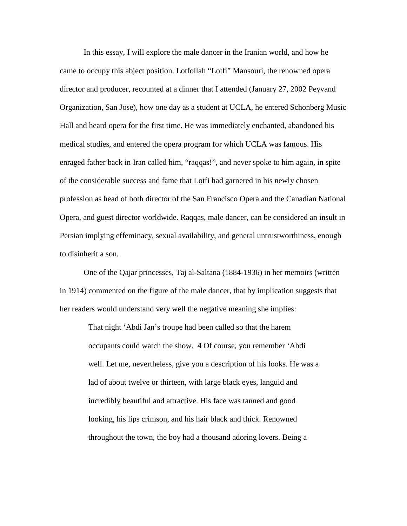In this essay, I will explore the male dancer in the Iranian world, and how he came to occupy this abject position. Lotfollah "Lotfi" Mansouri, the renowned opera director and producer, recounted at a dinner that I attended (January 27, 2002 Peyvand Organization, San Jose), how one day as a student at UCLA, he entered Schonberg Music Hall and heard opera for the first time. He was immediately enchanted, abandoned his medical studies, and entered the opera program for which UCLA was famous. His enraged father back in Iran called him, "raqqas!", and never spoke to him again, in spite of the considerable success and fame that Lotfi had garnered in his newly chosen profession as head of both director of the San Francisco Opera and the Canadian National Opera, and guest director worldwide. Raqqas, male dancer, can be considered an insult in Persian implying effeminacy, sexual availability, and general untrustworthiness, enough to disinherit a son.

One of the Qajar princesses, Taj al-Saltana (1884-1936) in her memoirs (written in 1914) commented on the figure of the male dancer, that by implication suggests that her readers would understand very well the negative meaning she implies:

That night 'Abdi Jan's troupe had been called so that the harem occupants could watch the show. **4** Of course, you remember 'Abdi well. Let me, nevertheless, give you a description of his looks. He was a lad of about twelve or thirteen, with large black eyes, languid and incredibly beautiful and attractive. His face was tanned and good looking, his lips crimson, and his hair black and thick. Renowned throughout the town, the boy had a thousand adoring lovers. Being a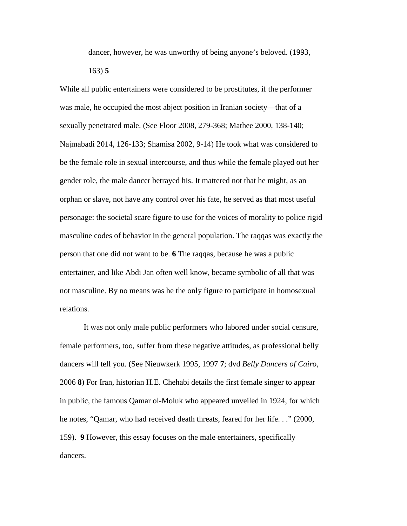dancer, however, he was unworthy of being anyone's beloved. (1993,

163) **5**

While all public entertainers were considered to be prostitutes, if the performer was male, he occupied the most abject position in Iranian society—that of a sexually penetrated male. (See Floor 2008, 279-368; Mathee 2000, 138-140; Najmabadi 2014, 126-133; Shamisa 2002, 9-14) He took what was considered to be the female role in sexual intercourse, and thus while the female played out her gender role, the male dancer betrayed his. It mattered not that he might, as an orphan or slave, not have any control over his fate, he served as that most useful personage: the societal scare figure to use for the voices of morality to police rigid masculine codes of behavior in the general population. The raqqas was exactly the person that one did not want to be. **6** The raqqas, because he was a public entertainer, and like Abdi Jan often well know, became symbolic of all that was not masculine. By no means was he the only figure to participate in homosexual relations.

It was not only male public performers who labored under social censure, female performers, too, suffer from these negative attitudes, as professional belly dancers will tell you. (See Nieuwkerk 1995, 1997 **7**; dvd *Belly Dancers of Cairo*, 2006 **8**) For Iran, historian H.E. Chehabi details the first female singer to appear in public, the famous Qamar ol-Moluk who appeared unveiled in 1924, for which he notes, "Qamar, who had received death threats, feared for her life. . ." (2000, 159). **9** However, this essay focuses on the male entertainers, specifically dancers.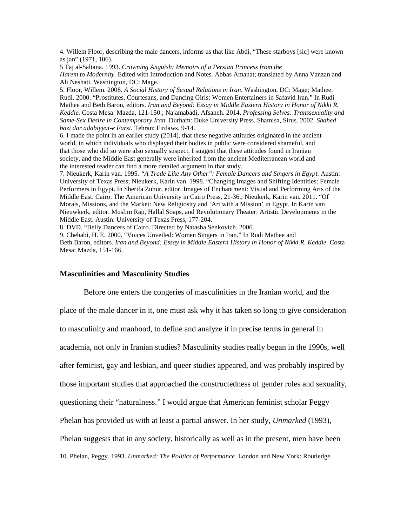4. Willem Floor, describing the male dancers, informs us that like Abdi, "These starboys [sic] were known as jan" (1971, 106).

5 Taj al-Saltana. 1993. *Crowning Anguish: Memoirs of a Persian Princess from the Harem to Modernity.* Edited with Introduction and Notes. Abbas Amanat; translated by Anna Vanzan and Ali Neshati. Washington, DC: Mage.

5. Floor, Willem. 2008. *A Social History of Sexual Relations in Iran*. Washington, DC: Mage; Mathee, Rudi. 2000. "Prostitutes, Courtesans, and Dancing Girls: Women Entertainers in Safavid Iran." In Rudi Mathee and Beth Baron, editors. *Iran and Beyond: Essay in Middle Eastern History in Honor of Nikki R. Keddie.* Costa Mesa: Mazda, 121-150.; Najamabadi, Afsaneh. 2014. *Professing Selves: Transsexuality and Same-Sex Desire in Contemporary Iran.* Durham: Duke University Press. Shamisa, Sirus. 2002. *Shahed bazi dar adabiyyat-e Farsi*. Tehran: Firdaws. 9-14.

6. I made the point in an earlier study (2014), that these negative attitudes originated in the ancient world, in which individuals who displayed their bodies in public were considered shameful, and that those who did so were also sexually suspect. I suggest that these attitudes found in Iranian society, and the Middle East generally were inherited from the ancient Mediterranean world and the interested reader can find a more detailed argument in that study.

7. Nieukerk, Karin van. 1995. *"A Trade Like Any Other": Female Dancers and Singers in Egypt*. Austin: University of Texas Press; Nieukerk, Karin van. 1998. "Changing Images and Shifting Identities: Female Performers in Egypt. In Sherifa Zuhur, editor. Images of Enchantment: Visual and Performing Arts of the Middle East. Cairo: The American University in Cairo Press, 21-36.; Nieukerk, Karin van. 2011. "Of Morals, Missions, and the Market: New Religiosity and 'Art with a Mission' in Egypt. In Karin van Nieuwkerk, editor. Muslim Rap, Hallal Soaps, and Revolutionary Theater: Artistic Developments in the Middle East. Austin: University of Texas Press, 177-204.

8. DVD. "Belly Dancers of Cairo. Directed by Natasha Senkovich. 2006.

9. Chehabi, H. E. 2000. "Voices Unveiled: Women Singers in Iran." In Rudi Mathee and Beth Baron, editors. *Iran and Beyond: Essay in Middle Eastern History in Honor of Nikki R. Keddie.* Costa Mesa: Mazda, 151-166.

#### **Masculinities and Masculinity Studies**

Before one enters the congeries of masculinities in the Iranian world, and the place of the male dancer in it, one must ask why it has taken so long to give consideration to masculinity and manhood, to define and analyze it in precise terms in general in academia, not only in Iranian studies? Masculinity studies really began in the 1990s, well after feminist, gay and lesbian, and queer studies appeared, and was probably inspired by those important studies that approached the constructedness of gender roles and sexuality, questioning their "naturalness." I would argue that American feminist scholar Peggy Phelan has provided us with at least a partial answer. In her study, *Unmarked* (1993), Phelan suggests that in any society, historically as well as in the present, men have been 10. Phelan, Peggy. 1993. *Unmarked: The Politics of Performance*. London and New York: Routledge.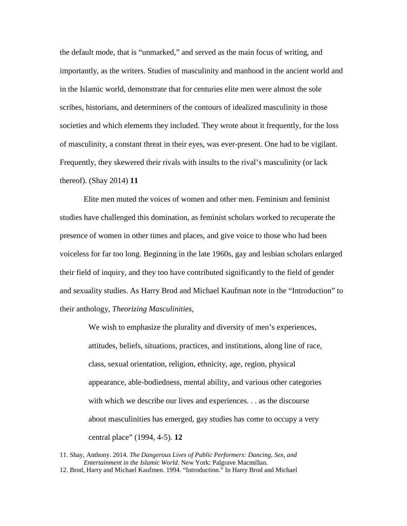the default mode, that is "unmarked," and served as the main focus of writing, and importantly, as the writers. Studies of masculinity and manhood in the ancient world and in the Islamic world, demonstrate that for centuries elite men were almost the sole scribes, historians, and determiners of the contours of idealized masculinity in those societies and which elements they included. They wrote about it frequently, for the loss of masculinity, a constant threat in their eyes, was ever-present. One had to be vigilant. Frequently, they skewered their rivals with insults to the rival's masculinity (or lack thereof). (Shay 2014) **11**

Elite men muted the voices of women and other men. Feminism and feminist studies have challenged this domination, as feminist scholars worked to recuperate the presence of women in other times and places, and give voice to those who had been voiceless for far too long. Beginning in the late 1960s, gay and lesbian scholars enlarged their field of inquiry, and they too have contributed significantly to the field of gender and sexuality studies. As Harry Brod and Michael Kaufman note in the "Introduction" to their anthology, *Theorizing Masculinities*,

We wish to emphasize the plurality and diversity of men's experiences, attitudes, beliefs, situations, practices, and institutions, along line of race, class, sexual orientation, religion, ethnicity, age, region, physical appearance, able-bodiedness, mental ability, and various other categories with which we describe our lives and experiences. . . as the discourse about masculinities has emerged, gay studies has come to occupy a very central place" (1994, 4-5). **12**

<sup>11.</sup> Shay, Anthony. 2014. *The Dangerous Lives of Public Performers: Dancing, Sex, and Entertainment in the Islamic World*. New York: Palgrave Macmillan. 12. Brod, Harry and Michael Kaufmen. 1994. "Introduction." In Harry Brod and Michael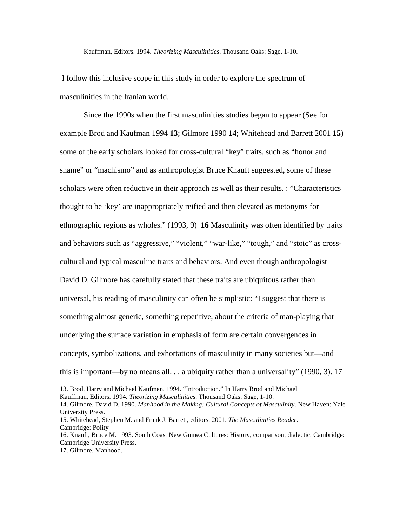Kauffman, Editors. 1994. *Theorizing Masculinities*. Thousand Oaks: Sage, 1-10.

I follow this inclusive scope in this study in order to explore the spectrum of masculinities in the Iranian world.

Since the 1990s when the first masculinities studies began to appear (See for example Brod and Kaufman 1994 **13**; Gilmore 1990 **14**; Whitehead and Barrett 2001 **15**) some of the early scholars looked for cross-cultural "key" traits, such as "honor and shame" or "machismo" and as anthropologist Bruce Knauft suggested, some of these scholars were often reductive in their approach as well as their results. : "Characteristics thought to be 'key' are inappropriately reified and then elevated as metonyms for ethnographic regions as wholes." (1993, 9) **16** Masculinity was often identified by traits and behaviors such as "aggressive," "violent," "war-like," "tough," and "stoic" as crosscultural and typical masculine traits and behaviors. And even though anthropologist David D. Gilmore has carefully stated that these traits are ubiquitous rather than universal, his reading of masculinity can often be simplistic: "I suggest that there is something almost generic, something repetitive, about the criteria of man-playing that underlying the surface variation in emphasis of form are certain convergences in concepts, symbolizations, and exhortations of masculinity in many societies but—and this is important—by no means all. . . a ubiquity rather than a universality" (1990, 3). 17

<sup>13.</sup> Brod, Harry and Michael Kaufmen. 1994. "Introduction." In Harry Brod and Michael

Kauffman, Editors. 1994. *Theorizing Masculinities*. Thousand Oaks: Sage, 1-10.

<sup>14.</sup> Gilmore, David D. 1990. *Manhood in the Making: Cultural Concepts of Masculinity*. New Haven: Yale University Press.

<sup>15.</sup> Whitehead, Stephen M. and Frank J. Barrett, editors. 2001. *The Masculinities Reader*. Cambridge: Polity

<sup>16.</sup> Knauft, Bruce M. 1993. South Coast New Guinea Cultures: History, comparison, dialectic. Cambridge: Cambridge University Press.

<sup>17.</sup> Gilmore. Manhood.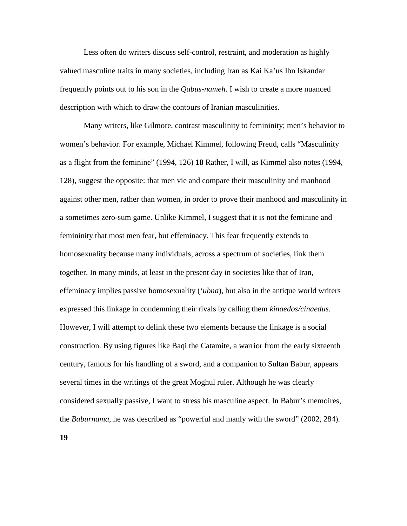Less often do writers discuss self-control, restraint, and moderation as highly valued masculine traits in many societies, including Iran as Kai Ka'us Ibn Iskandar frequently points out to his son in the *Qabus-nameh*. I wish to create a more nuanced description with which to draw the contours of Iranian masculinities.

Many writers, like Gilmore, contrast masculinity to femininity; men's behavior to women's behavior. For example, Michael Kimmel, following Freud, calls "Masculinity as a flight from the feminine" (1994, 126) **18** Rather, I will, as Kimmel also notes (1994, 128), suggest the opposite: that men vie and compare their masculinity and manhood against other men, rather than women, in order to prove their manhood and masculinity in a sometimes zero-sum game. Unlike Kimmel, I suggest that it is not the feminine and femininity that most men fear, but effeminacy. This fear frequently extends to homosexuality because many individuals, across a spectrum of societies, link them together. In many minds, at least in the present day in societies like that of Iran, effeminacy implies passive homosexuality (*'ubna*), but also in the antique world writers expressed this linkage in condemning their rivals by calling them *kinaedos/cinaedus*. However, I will attempt to delink these two elements because the linkage is a social construction. By using figures like Baqi the Catamite, a warrior from the early sixteenth century, famous for his handling of a sword, and a companion to Sultan Babur, appears several times in the writings of the great Moghul ruler. Although he was clearly considered sexually passive, I want to stress his masculine aspect. In Babur's memoires, the *Baburnama*, he was described as "powerful and manly with the sword" (2002, 284).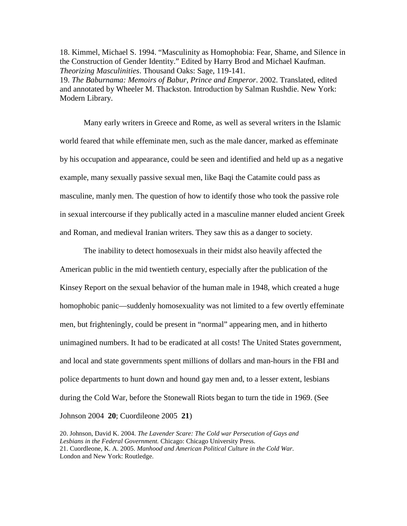18. Kimmel, Michael S. 1994. "Masculinity as Homophobia: Fear, Shame, and Silence in the Construction of Gender Identity." Edited by Harry Brod and Michael Kaufman. *Theorizing Masculinities*. Thousand Oaks: Sage, 119-141.

19. *The Baburnama: Memoirs of Babur, Prince and Emperor*. 2002. Translated, edited and annotated by Wheeler M. Thackston. Introduction by Salman Rushdie. New York: Modern Library.

Many early writers in Greece and Rome, as well as several writers in the Islamic world feared that while effeminate men, such as the male dancer, marked as effeminate by his occupation and appearance, could be seen and identified and held up as a negative example, many sexually passive sexual men, like Baqi the Catamite could pass as masculine, manly men. The question of how to identify those who took the passive role in sexual intercourse if they publically acted in a masculine manner eluded ancient Greek and Roman, and medieval Iranian writers. They saw this as a danger to society.

The inability to detect homosexuals in their midst also heavily affected the American public in the mid twentieth century, especially after the publication of the Kinsey Report on the sexual behavior of the human male in 1948, which created a huge homophobic panic—suddenly homosexuality was not limited to a few overtly effeminate men, but frighteningly, could be present in "normal" appearing men, and in hitherto unimagined numbers. It had to be eradicated at all costs! The United States government, and local and state governments spent millions of dollars and man-hours in the FBI and police departments to hunt down and hound gay men and, to a lesser extent, lesbians during the Cold War, before the Stonewall Riots began to turn the tide in 1969. (See Johnson 2004 **20**; Cuordileone 2005 **21**)

20. Johnson, David K. 2004. *The Lavender Scare: The Cold war Persecution of Gays and Lesbians in the Federal Government.* Chicago: Chicago University Press. 21. Cuordleone, K. A. 2005. *Manhood and American Political Culture in the Cold War*. London and New York: Routledge.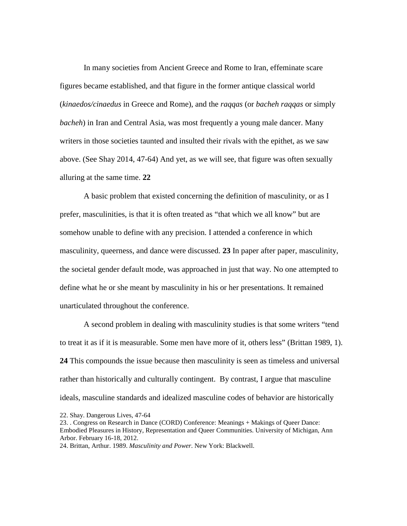In many societies from Ancient Greece and Rome to Iran, effeminate scare figures became established, and that figure in the former antique classical world (*kinaedos/cinaedus* in Greece and Rome), and the *raqqas* (or *bacheh raqqas* or simply *bacheh*) in Iran and Central Asia, was most frequently a young male dancer. Many writers in those societies taunted and insulted their rivals with the epithet, as we saw above. (See Shay 2014, 47-64) And yet, as we will see, that figure was often sexually alluring at the same time. **22**

A basic problem that existed concerning the definition of masculinity, or as I prefer, masculinities, is that it is often treated as "that which we all know" but are somehow unable to define with any precision. I attended a conference in which masculinity, queerness, and dance were discussed. **23** In paper after paper, masculinity, the societal gender default mode, was approached in just that way. No one attempted to define what he or she meant by masculinity in his or her presentations. It remained unarticulated throughout the conference.

A second problem in dealing with masculinity studies is that some writers "tend to treat it as if it is measurable. Some men have more of it, others less" (Brittan 1989, 1). **24** This compounds the issue because then masculinity is seen as timeless and universal rather than historically and culturally contingent. By contrast, I argue that masculine ideals, masculine standards and idealized masculine codes of behavior are historically

<sup>22.</sup> Shay. Dangerous Lives, 47-64

<sup>23. .</sup> Congress on Research in Dance (CORD) Conference: Meanings + Makings of Queer Dance: Embodied Pleasures in History, Representation and Queer Communities. University of Michigan, Ann Arbor. February 16-18, 2012.

<sup>24.</sup> Brittan, Arthur. 1989. *Masculinity and Power*. New York: Blackwell.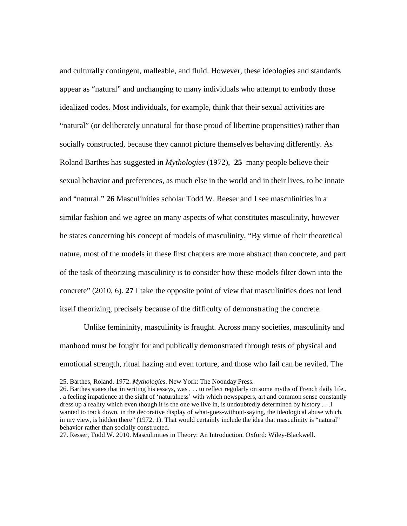and culturally contingent, malleable, and fluid. However, these ideologies and standards appear as "natural" and unchanging to many individuals who attempt to embody those idealized codes. Most individuals, for example, think that their sexual activities are "natural" (or deliberately unnatural for those proud of libertine propensities) rather than socially constructed, because they cannot picture themselves behaving differently. As Roland Barthes has suggested in *Mythologies* (1972), **25** many people believe their sexual behavior and preferences, as much else in the world and in their lives, to be innate and "natural." **26** Masculinities scholar Todd W. Reeser and I see masculinities in a similar fashion and we agree on many aspects of what constitutes masculinity, however he states concerning his concept of models of masculinity, "By virtue of their theoretical nature, most of the models in these first chapters are more abstract than concrete, and part of the task of theorizing masculinity is to consider how these models filter down into the concrete" (2010, 6). **27** I take the opposite point of view that masculinities does not lend itself theorizing, precisely because of the difficulty of demonstrating the concrete.

Unlike femininity, masculinity is fraught. Across many societies, masculinity and manhood must be fought for and publically demonstrated through tests of physical and emotional strength, ritual hazing and even torture, and those who fail can be reviled. The

<sup>25.</sup> Barthes, Roland. 1972. *Mythologies*. New York: The Noonday Press.

<sup>26.</sup> Barthes states that in writing his essays, was . . . to reflect regularly on some myths of French daily life.. . a feeling impatience at the sight of 'naturalness' with which newspapers, art and common sense constantly dress up a reality which even though it is the one we live in, is undoubtedly determined by history . . .I wanted to track down, in the decorative display of what-goes-without-saying, the ideological abuse which, in my view, is hidden there" (1972, 1). That would certainly include the idea that masculinity is "natural" behavior rather than socially constructed.

<sup>27.</sup> Resser, Todd W. 2010. Masculinities in Theory: An Introduction. Oxford: Wiley-Blackwell.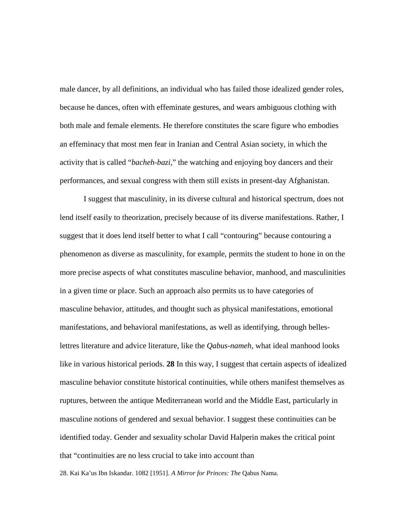male dancer, by all definitions, an individual who has failed those idealized gender roles, because he dances, often with effeminate gestures, and wears ambiguous clothing with both male and female elements. He therefore constitutes the scare figure who embodies an effeminacy that most men fear in Iranian and Central Asian society, in which the activity that is called "*bacheh-bazi,*" the watching and enjoying boy dancers and their performances, and sexual congress with them still exists in present-day Afghanistan.

I suggest that masculinity, in its diverse cultural and historical spectrum, does not lend itself easily to theorization, precisely because of its diverse manifestations. Rather, I suggest that it does lend itself better to what I call "contouring" because contouring a phenomenon as diverse as masculinity, for example, permits the student to hone in on the more precise aspects of what constitutes masculine behavior, manhood, and masculinities in a given time or place. Such an approach also permits us to have categories of masculine behavior, attitudes, and thought such as physical manifestations, emotional manifestations, and behavioral manifestations, as well as identifying, through belleslettres literature and advice literature, like the *Qabus-nameh*, what ideal manhood looks like in various historical periods. **28** In this way, I suggest that certain aspects of idealized masculine behavior constitute historical continuities, while others manifest themselves as ruptures, between the antique Mediterranean world and the Middle East, particularly in masculine notions of gendered and sexual behavior. I suggest these continuities can be identified today. Gender and sexuality scholar David Halperin makes the critical point that "continuities are no less crucial to take into account than

28. Kai Ka'us Ibn Iskandar. 1082 [1951]. *A Mirror for Princes: The* Qabus Nama.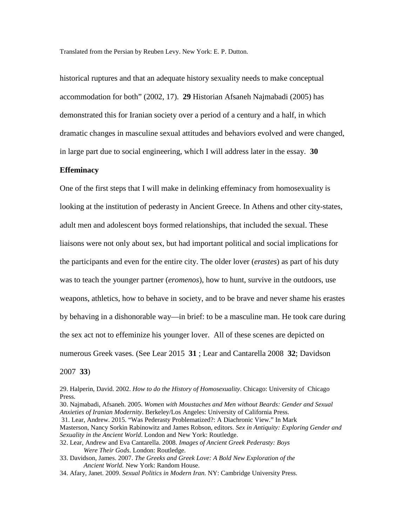Translated from the Persian by Reuben Levy. New York: E. P. Dutton.

historical ruptures and that an adequate history sexuality needs to make conceptual accommodation for both" (2002, 17). **29** Historian Afsaneh Najmabadi (2005) has demonstrated this for Iranian society over a period of a century and a half, in which dramatic changes in masculine sexual attitudes and behaviors evolved and were changed, in large part due to social engineering, which I will address later in the essay. **30**

#### **Effeminacy**

One of the first steps that I will make in delinking effeminacy from homosexuality is looking at the institution of pederasty in Ancient Greece. In Athens and other city-states, adult men and adolescent boys formed relationships, that included the sexual. These liaisons were not only about sex, but had important political and social implications for the participants and even for the entire city. The older lover (*erastes*) as part of his duty was to teach the younger partner (*eromenos*), how to hunt, survive in the outdoors, use weapons, athletics, how to behave in society, and to be brave and never shame his erastes by behaving in a dishonorable way—in brief: to be a masculine man. He took care during the sex act not to effeminize his younger lover. All of these scenes are depicted on numerous Greek vases. (See Lear 2015 **31** ; Lear and Cantarella 2008 **32**; Davidson

2007 **33**)

- 30. Najmabadi, Afsaneh. 2005. *Women with Moustaches and Men without Beards: Gender and Sexual Anxieties of Iranian Modernity*. Berkeley/Los Angeles: University of California Press.
- 31. Lear, Andrew. 2015. "Was Pederasty Problematized?: A Diachronic View." In Mark
- Masterson, Nancy Sorkin Rabinowitz and James Robson, editors. *Sex in Antiquity: Exploring Gender and Sexuality in the Ancient World*. London and New York: Routledge.
- 32. Lear, Andrew and Eva Cantarella. 2008. *Images of Ancient Greek Pederasty: Boys Were Their Gods*. London: Routledge.

33. Davidson, James. 2007. *The Greeks and Greek Love: A Bold New Exploration of the Ancient World.* New York: Random House.

34. Afary, Janet. 2009. *Sexual Politics in Modern Iran.* NY: Cambridge University Press.

<sup>29.</sup> Halperin, David. 2002. *How to do the History of Homosexuality*. Chicago: University of Chicago Press.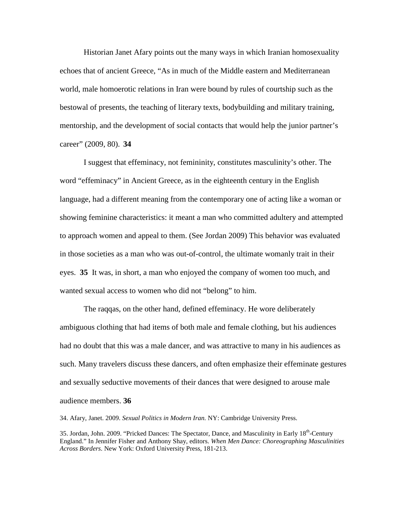Historian Janet Afary points out the many ways in which Iranian homosexuality echoes that of ancient Greece, "As in much of the Middle eastern and Mediterranean world, male homoerotic relations in Iran were bound by rules of courtship such as the bestowal of presents, the teaching of literary texts, bodybuilding and military training, mentorship, and the development of social contacts that would help the junior partner's career" (2009, 80). **34**

I suggest that effeminacy, not femininity, constitutes masculinity's other. The word "effeminacy" in Ancient Greece, as in the eighteenth century in the English language, had a different meaning from the contemporary one of acting like a woman or showing feminine characteristics: it meant a man who committed adultery and attempted to approach women and appeal to them. (See Jordan 2009) This behavior was evaluated in those societies as a man who was out-of-control, the ultimate womanly trait in their eyes. **35** It was, in short, a man who enjoyed the company of women too much, and wanted sexual access to women who did not "belong" to him.

The raqqas, on the other hand, defined effeminacy. He wore deliberately ambiguous clothing that had items of both male and female clothing, but his audiences had no doubt that this was a male dancer, and was attractive to many in his audiences as such. Many travelers discuss these dancers, and often emphasize their effeminate gestures and sexually seductive movements of their dances that were designed to arouse male audience members. **36**

34. Afary, Janet. 2009. *Sexual Politics in Modern Iran.* NY: Cambridge University Press.

35. Jordan, John. 2009. "Pricked Dances: The Spectator, Dance, and Masculinity in Early 18th-Century England." In Jennifer Fisher and Anthony Shay, editors. *When Men Dance: Choreographing Masculinities Across Borders*. New York: Oxford University Press, 181-213.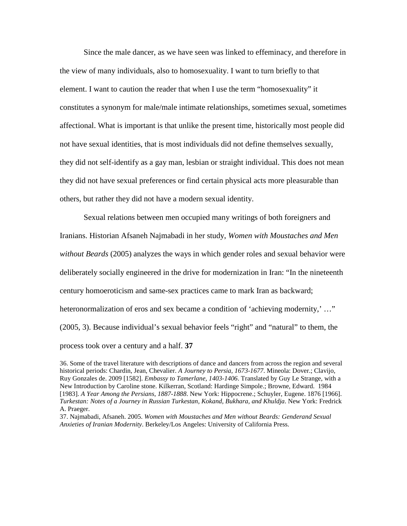Since the male dancer, as we have seen was linked to effeminacy, and therefore in the view of many individuals, also to homosexuality. I want to turn briefly to that element. I want to caution the reader that when I use the term "homosexuality" it constitutes a synonym for male/male intimate relationships, sometimes sexual, sometimes affectional. What is important is that unlike the present time, historically most people did not have sexual identities, that is most individuals did not define themselves sexually, they did not self-identify as a gay man, lesbian or straight individual. This does not mean they did not have sexual preferences or find certain physical acts more pleasurable than others, but rather they did not have a modern sexual identity.

Sexual relations between men occupied many writings of both foreigners and Iranians. Historian Afsaneh Najmabadi in her study, *Women with Moustaches and Men without Beards* (2005) analyzes the ways in which gender roles and sexual behavior were deliberately socially engineered in the drive for modernization in Iran: "In the nineteenth century homoeroticism and same-sex practices came to mark Iran as backward; heteronormalization of eros and sex became a condition of 'achieving modernity,' ..." (2005, 3). Because individual's sexual behavior feels "right" and "natural" to them, the process took over a century and a half. **37**

37. Najmabadi, Afsaneh. 2005. *Women with Moustaches and Men without Beards: Genderand Sexual Anxieties of Iranian Modernity*. Berkeley/Los Angeles: University of California Press.

<sup>36.</sup> Some of the travel literature with descriptions of dance and dancers from across the region and several historical periods: Chardin, Jean, Chevalier. *A Journey to Persia, 1673-1677*. Mineola: Dover.; Clavijo, Ruy Gonzales de. 2009 [1582]. *Embassy to Tamerlane, 1403-1406*. Translated by Guy Le Strange, with a New Introduction by Caroline stone. Kilkerran, Scotland: Hardinge Simpole.; Browne, Edward. 1984 [1983]. *A Year Among the Persians, 1887-1888*. New York: Hippocrene.; Schuyler, Eugene. 1876 [1966]. *Turkestan: Notes of a Journey in Russian Turkestan, Kokand, Bukhara, and Khuldja*. New York: Fredrick A. Praeger.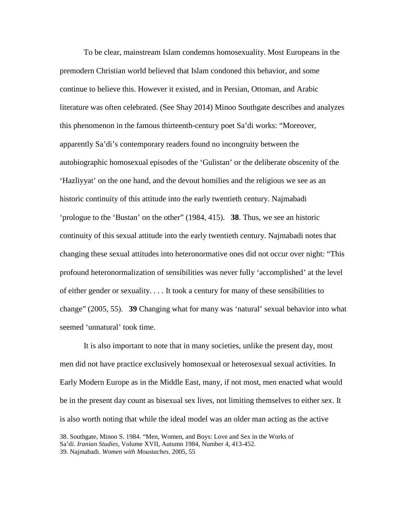To be clear, mainstream Islam condemns homosexuality. Most Europeans in the premodern Christian world believed that Islam condoned this behavior, and some continue to believe this. However it existed, and in Persian, Ottoman, and Arabic literature was often celebrated. (See Shay 2014) Minoo Southgate describes and analyzes this phenomenon in the famous thirteenth-century poet Sa'di works: "Moreover, apparently Sa'di's contemporary readers found no incongruity between the autobiographic homosexual episodes of the 'Gulistan' or the deliberate obscenity of the 'Hazliyyat' on the one hand, and the devout homilies and the religious we see as an historic continuity of this attitude into the early twentieth century. Najmabadi 'prologue to the 'Bustan' on the other" (1984, 415). **38**. Thus, we see an historic continuity of this sexual attitude into the early twentieth century. Najmabadi notes that changing these sexual attitudes into heteronormative ones did not occur over night: "This profound heteronormalization of sensibilities was never fully 'accomplished' at the level of either gender or sexuality. . . . It took a century for many of these sensibilities to change" (2005, 55). **39** Changing what for many was 'natural' sexual behavior into what seemed 'unnatural' took time.

It is also important to note that in many societies, unlike the present day, most men did not have practice exclusively homosexual or heterosexual sexual activities. In Early Modern Europe as in the Middle East, many, if not most, men enacted what would be in the present day count as bisexual sex lives, not limiting themselves to either sex. It is also worth noting that while the ideal model was an older man acting as the active

<sup>38.</sup> Southgate, Minoo S. 1984. "Men, Women, and Boys: Love and Sex in the Works of Sa'di. *Iranian Studies*, Volume XVII, Autumn 1984, Number 4, 413-452. 39. Najmabadi. *Women with Moustaches*. 2005, 55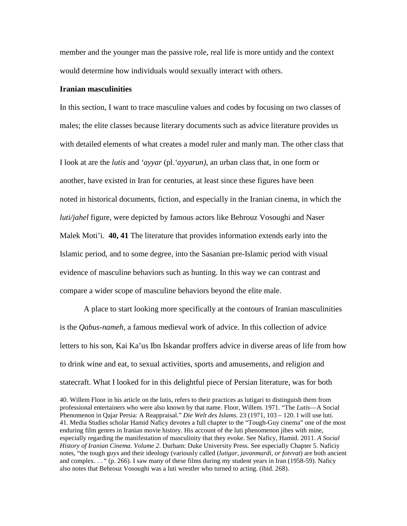member and the younger man the passive role, real life is more untidy and the context would determine how individuals would sexually interact with others.

#### **Iranian masculinities**

In this section, I want to trace masculine values and codes by focusing on two classes of males; the elite classes because literary documents such as advice literature provides us with detailed elements of what creates a model ruler and manly man. The other class that I look at are the *lutis* and *'ayyar* (pl.*'ayyarun)*, an urban class that, in one form or another, have existed in Iran for centuries, at least since these figures have been noted in historical documents, fiction, and especially in the Iranian cinema, in which the *luti/jahel* figure, were depicted by famous actors like Behrouz Vosoughi and Naser Malek Moti'i. **40, 41** The literature that provides information extends early into the Islamic period, and to some degree, into the Sasanian pre-Islamic period with visual evidence of masculine behaviors such as hunting. In this way we can contrast and compare a wider scope of masculine behaviors beyond the elite male.

A place to start looking more specifically at the contours of Iranian masculinities is the *Qabus-nameh*, a famous medieval work of advice. In this collection of advice letters to his son, Kai Ka'us Ibn Iskandar proffers advice in diverse areas of life from how to drink wine and eat, to sexual activities, sports and amusements, and religion and statecraft. What I looked for in this delightful piece of Persian literature, was for both

40. Willem Floor in his article on the lutis, refers to their practices as lutigari to distinguish them from professional entertainers who were also known by that name. Floor, Willem. 1971. "The *Lutis*—A Social Phenomenon in Qajar Persia: A Reappraisal." *Die Welt des Islams*. 23 (1971, 103 – 120. I will use luti. 41. Media Studies scholar Hamid Naficy devotes a full chapter to the "Tough-Guy cinema" one of the most enduring film genres in Iranian movie history. His account of the luti phenomenon jibes with mine, especially regarding the manifestation of masculinity that they evoke. See Naficy, Hamid. 2011. *A Social History of Iranian Cinema. Volume 2*. Durham: Duke University Press. See especially Chapter 5. Naficiy notes, "the tough guys and their ideology (variously called (*lutigar, javanmardi, or fotvvat*) are both ancient and complex. . . " (p. 266). I saw many of these films during my student years in Iran (1958-59). Naficy also notes that Behrouz Vosoughi was a luti wrestler who turned to acting. (ibid. 268).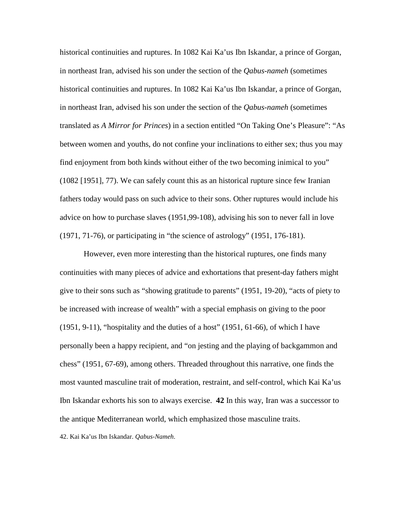historical continuities and ruptures. In 1082 Kai Ka'us Ibn Iskandar, a prince of Gorgan, in northeast Iran, advised his son under the section of the *Qabus-nameh* (sometimes historical continuities and ruptures. In 1082 Kai Ka'us Ibn Iskandar, a prince of Gorgan, in northeast Iran, advised his son under the section of the *Qabus-nameh* (sometimes translated as *A Mirror for Princes*) in a section entitled "On Taking One's Pleasure": "As between women and youths, do not confine your inclinations to either sex; thus you may find enjoyment from both kinds without either of the two becoming inimical to you" (1082 [1951], 77). We can safely count this as an historical rupture since few Iranian fathers today would pass on such advice to their sons. Other ruptures would include his advice on how to purchase slaves (1951,99-108), advising his son to never fall in love (1971, 71-76), or participating in "the science of astrology" (1951, 176-181).

However, even more interesting than the historical ruptures, one finds many continuities with many pieces of advice and exhortations that present-day fathers might give to their sons such as "showing gratitude to parents" (1951, 19-20), "acts of piety to be increased with increase of wealth" with a special emphasis on giving to the poor  $(1951, 9-11)$ , "hospitality and the duties of a host"  $(1951, 61-66)$ , of which I have personally been a happy recipient, and "on jesting and the playing of backgammon and chess" (1951, 67-69), among others. Threaded throughout this narrative, one finds the most vaunted masculine trait of moderation, restraint, and self-control, which Kai Ka'us Ibn Iskandar exhorts his son to always exercise. **42** In this way, Iran was a successor to the antique Mediterranean world, which emphasized those masculine traits.

42. Kai Ka'us Ibn Iskandar. *Qabus-Nameh*.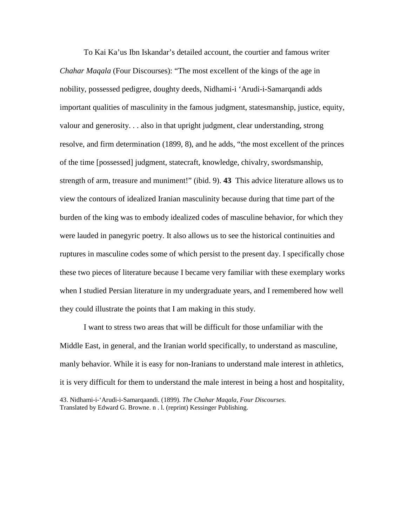To Kai Ka'us Ibn Iskandar's detailed account, the courtier and famous writer *Chahar Maqala* (Four Discourses): "The most excellent of the kings of the age in nobility, possessed pedigree, doughty deeds, Nidhami-i 'Arudi-i-Samarqandi adds important qualities of masculinity in the famous judgment, statesmanship, justice, equity, valour and generosity. . . also in that upright judgment, clear understanding, strong resolve, and firm determination (1899, 8), and he adds, "the most excellent of the princes of the time [possessed] judgment, statecraft, knowledge, chivalry, swordsmanship, strength of arm, treasure and muniment!" (ibid. 9). **43** This advice literature allows us to view the contours of idealized Iranian masculinity because during that time part of the burden of the king was to embody idealized codes of masculine behavior, for which they were lauded in panegyric poetry. It also allows us to see the historical continuities and ruptures in masculine codes some of which persist to the present day. I specifically chose these two pieces of literature because I became very familiar with these exemplary works when I studied Persian literature in my undergraduate years, and I remembered how well they could illustrate the points that I am making in this study.

I want to stress two areas that will be difficult for those unfamiliar with the Middle East, in general, and the Iranian world specifically, to understand as masculine, manly behavior. While it is easy for non-Iranians to understand male interest in athletics, it is very difficult for them to understand the male interest in being a host and hospitality, 43. Nidhami-i-'Arudi-i-Samarqaandi. (1899). *The Chahar Maqala, Four Discourses*. Translated by Edward G. Browne. n . l. (reprint) Kessinger Publishing.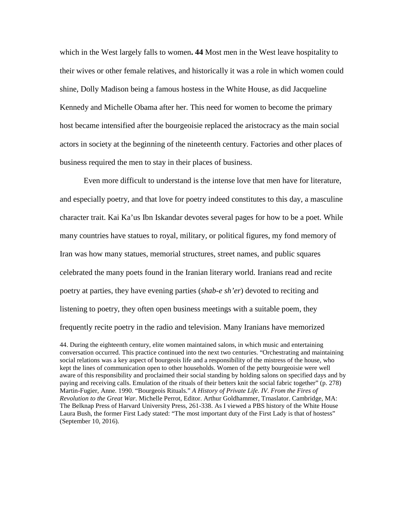which in the West largely falls to women**. 44** Most men in the West leave hospitality to their wives or other female relatives, and historically it was a role in which women could shine, Dolly Madison being a famous hostess in the White House, as did Jacqueline Kennedy and Michelle Obama after her. This need for women to become the primary host became intensified after the bourgeoisie replaced the aristocracy as the main social actors in society at the beginning of the nineteenth century. Factories and other places of business required the men to stay in their places of business.

Even more difficult to understand is the intense love that men have for literature, and especially poetry, and that love for poetry indeed constitutes to this day, a masculine character trait. Kai Ka'us Ibn Iskandar devotes several pages for how to be a poet. While many countries have statues to royal, military, or political figures, my fond memory of Iran was how many statues, memorial structures, street names, and public squares celebrated the many poets found in the Iranian literary world. Iranians read and recite poetry at parties, they have evening parties (*shab-e sh'er*) devoted to reciting and listening to poetry, they often open business meetings with a suitable poem, they frequently recite poetry in the radio and television. Many Iranians have memorized

<sup>44.</sup> During the eighteenth century, elite women maintained salons, in which music and entertaining conversation occurred. This practice continued into the next two centuries. "Orchestrating and maintaining social relations was a key aspect of bourgeois life and a responsibility of the mistress of the house, who kept the lines of communication open to other households. Women of the petty bourgeoisie were well aware of this responsibility and proclaimed their social standing by holding salons on specified days and by paying and receiving calls. Emulation of the rituals of their betters knit the social fabric together" (p. 278) Martin-Fugier, Anne. 1990. "Bourgeois Rituals." *A History of Private Life. IV. From the Fires of Revolution to the Great War*. Michelle Perrot, Editor. Arthur Goldhammer, Trnaslator. Cambridge, MA: The Belknap Press of Harvard University Press, 261-338. As I viewed a PBS history of the White House Laura Bush, the former First Lady stated: "The most important duty of the First Lady is that of hostess" (September 10, 2016).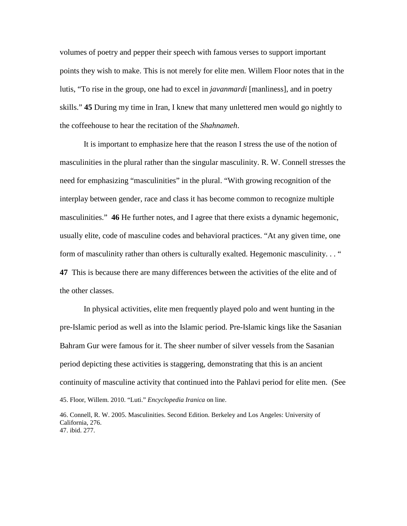volumes of poetry and pepper their speech with famous verses to support important points they wish to make. This is not merely for elite men. Willem Floor notes that in the lutis, "To rise in the group, one had to excel in *javanmardi* [manliness], and in poetry skills." **45** During my time in Iran, I knew that many unlettered men would go nightly to the coffeehouse to hear the recitation of the *Shahnameh*.

It is important to emphasize here that the reason I stress the use of the notion of masculinities in the plural rather than the singular masculinity. R. W. Connell stresses the need for emphasizing "masculinities" in the plural. "With growing recognition of the interplay between gender, race and class it has become common to recognize multiple masculinities." **46** He further notes, and I agree that there exists a dynamic hegemonic, usually elite, code of masculine codes and behavioral practices. "At any given time, one form of masculinity rather than others is culturally exalted. Hegemonic masculinity. . . " **47** This is because there are many differences between the activities of the elite and of the other classes.

In physical activities, elite men frequently played polo and went hunting in the pre-Islamic period as well as into the Islamic period. Pre-Islamic kings like the Sasanian Bahram Gur were famous for it. The sheer number of silver vessels from the Sasanian period depicting these activities is staggering, demonstrating that this is an ancient continuity of masculine activity that continued into the Pahlavi period for elite men. (See 45. Floor, Willem. 2010. "Luti." *Encyclopedia Iranica* on line.

46. Connell, R. W. 2005. Masculinities. Second Edition. Berkeley and Los Angeles: University of California, 276. 47. ibid. 277.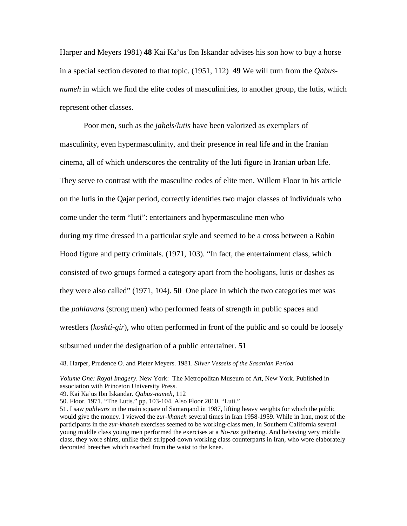Harper and Meyers 1981) **48** Kai Ka'us Ibn Iskandar advises his son how to buy a horse in a special section devoted to that topic. (1951, 112) **49** We will turn from the *Qabusnameh* in which we find the elite codes of masculinities, to another group, the lutis, which represent other classes.

Poor men, such as the *jahels*/*lutis* have been valorized as exemplars of masculinity, even hypermasculinity, and their presence in real life and in the Iranian cinema, all of which underscores the centrality of the luti figure in Iranian urban life. They serve to contrast with the masculine codes of elite men. Willem Floor in his article on the lutis in the Qajar period, correctly identities two major classes of individuals who come under the term "luti": entertainers and hypermasculine men who during my time dressed in a particular style and seemed to be a cross between a Robin Hood figure and petty criminals. (1971, 103). "In fact, the entertainment class, which consisted of two groups formed a category apart from the hooligans, lutis or dashes as they were also called" (1971, 104). **50** One place in which the two categories met was the *pahlavans* (strong men) who performed feats of strength in public spaces and wrestlers (*koshti-gir*), who often performed in front of the public and so could be loosely subsumed under the designation of a public entertainer. **51**

48. Harper, Prudence O. and Pieter Meyers. 1981. *Silver Vessels of the Sasanian Period*

*Volume One: Royal Imagery*. New York: The Metropolitan Museum of Art, New York. Published in association with Princeton University Press.

49. Kai Ka'us Ibn Iskandar. *Qabus-nameh*, 112

50. Floor. 1971. "The Lutis." pp. 103-104. Also Floor 2010. "Luti."

51. I saw *pahlvans* in the main square of Samarqand in 1987, lifting heavy weights for which the public would give the money. I viewed the *zur-khaneh* several times in Iran 1958-1959. While in Iran, most of the participants in the *zur-khaneh* exercises seemed to be working-class men, in Southern California several young middle class young men performed the exercises at a *No-ruz* gathering. And behaving very middle class, they wore shirts, unlike their stripped-down working class counterparts in Iran, who wore elaborately decorated breeches which reached from the waist to the knee.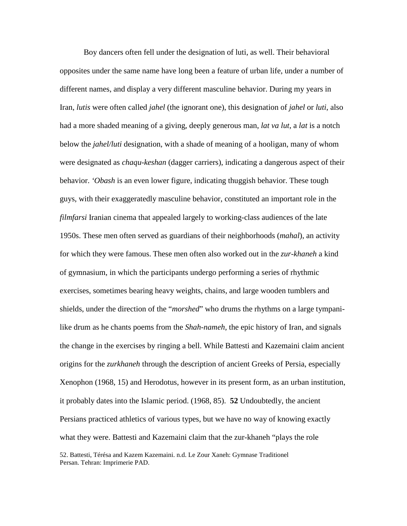Boy dancers often fell under the designation of luti, as well. Their behavioral opposites under the same name have long been a feature of urban life, under a number of different names, and display a very different masculine behavior. During my years in Iran, *lutis* were often called *jahel* (the ignorant one), this designation of *jahel* or *luti*, also had a more shaded meaning of a giving, deeply generous man, *lat va lut*, a *lat* is a notch below the *jahel/luti* designation, with a shade of meaning of a hooligan, many of whom were designated as *chaqu-keshan* (dagger carriers), indicating a dangerous aspect of their behavior. *'Obash* is an even lower figure, indicating thuggish behavior. These tough guys, with their exaggeratedly masculine behavior, constituted an important role in the *filmfarsi* Iranian cinema that appealed largely to working-class audiences of the late 1950s. These men often served as guardians of their neighborhoods (*mahal*), an activity for which they were famous. These men often also worked out in the *zur-khaneh* a kind of gymnasium, in which the participants undergo performing a series of rhythmic exercises, sometimes bearing heavy weights, chains, and large wooden tumblers and shields, under the direction of the "*morshed*" who drums the rhythms on a large tympanilike drum as he chants poems from the *Shah-nameh*, the epic history of Iran, and signals the change in the exercises by ringing a bell. While Battesti and Kazemaini claim ancient origins for the *zurkhaneh* through the description of ancient Greeks of Persia, especially Xenophon (1968, 15) and Herodotus, however in its present form, as an urban institution, it probably dates into the Islamic period. (1968, 85). **52** Undoubtedly, the ancient Persians practiced athletics of various types, but we have no way of knowing exactly what they were. Battesti and Kazemaini claim that the zur-khaneh "plays the role

52. Battesti, Térésa and Kazem Kazemaini. n.d. Le Zour Xaneh: Gymnase Traditionel Persan. Tehran: Imprimerie PAD.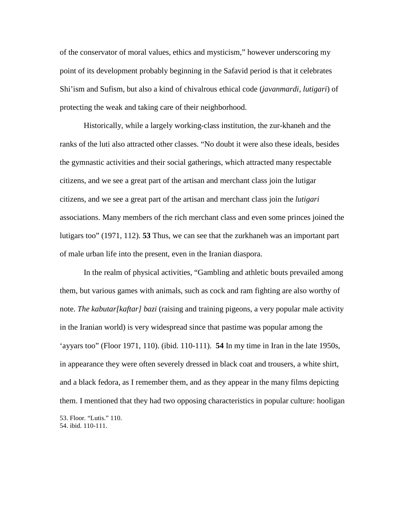of the conservator of moral values, ethics and mysticism," however underscoring my point of its development probably beginning in the Safavid period is that it celebrates Shi'ism and Sufism, but also a kind of chivalrous ethical code (*javanmardi, lutigari*) of protecting the weak and taking care of their neighborhood.

Historically, while a largely working-class institution, the zur-khaneh and the ranks of the luti also attracted other classes. "No doubt it were also these ideals, besides the gymnastic activities and their social gatherings, which attracted many respectable citizens, and we see a great part of the artisan and merchant class join the lutigar citizens, and we see a great part of the artisan and merchant class join the *lutigari* associations. Many members of the rich merchant class and even some princes joined the lutigars too" (1971, 112). **53** Thus, we can see that the zurkhaneh was an important part of male urban life into the present, even in the Iranian diaspora.

In the realm of physical activities, "Gambling and athletic bouts prevailed among them, but various games with animals, such as cock and ram fighting are also worthy of note. *The kabutar[kaftar] bazi* (raising and training pigeons, a very popular male activity in the Iranian world) is very widespread since that pastime was popular among the 'ayyars too" (Floor 1971, 110). (ibid. 110-111). **54** In my time in Iran in the late 1950s, in appearance they were often severely dressed in black coat and trousers, a white shirt, and a black fedora, as I remember them, and as they appear in the many films depicting them. I mentioned that they had two opposing characteristics in popular culture: hooligan 53. Floor. "Lutis." 110. 54. ibid. 110-111.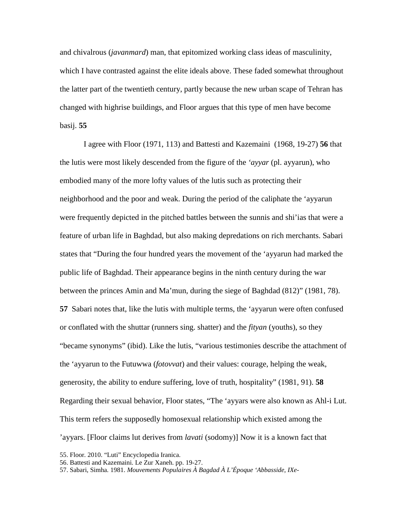and chivalrous (*javanmard*) man, that epitomized working class ideas of masculinity, which I have contrasted against the elite ideals above. These faded somewhat throughout the latter part of the twentieth century, partly because the new urban scape of Tehran has changed with highrise buildings, and Floor argues that this type of men have become basij. **55**

I agree with Floor (1971, 113) and Battesti and Kazemaini (1968, 19-27) **56** that the lutis were most likely descended from the figure of the *'ayyar* (pl. ayyarun), who embodied many of the more lofty values of the lutis such as protecting their neighborhood and the poor and weak. During the period of the caliphate the 'ayyarun were frequently depicted in the pitched battles between the sunnis and shi'ias that were a feature of urban life in Baghdad, but also making depredations on rich merchants. Sabari states that "During the four hundred years the movement of the 'ayyarun had marked the public life of Baghdad. Their appearance begins in the ninth century during the war between the princes Amin and Ma'mun, during the siege of Baghdad (812)" (1981, 78). **57** Sabari notes that, like the lutis with multiple terms, the 'ayyarun were often confused or conflated with the shuttar (runners sing. shatter) and the *fityan* (youths), so they "became synonyms" (ibid). Like the lutis, "various testimonies describe the attachment of the 'ayyarun to the Futuwwa (*fotovvat*) and their values: courage, helping the weak, generosity, the ability to endure suffering, love of truth, hospitality" (1981, 91). **58** Regarding their sexual behavior, Floor states, "The 'ayyars were also known as Ahl-i Lut. This term refers the supposedly homosexual relationship which existed among the 'ayyars. [Floor claims lut derives from *lavati* (sodomy)] Now it is a known fact that

<sup>55.</sup> Floor. 2010. "Luti" Encyclopedia Iranica.

<sup>56.</sup> Battesti and Kazemaini. Le Zur Xaneh. pp. 19-27.

<sup>57.</sup> Sabari, Simha. 1981. *Mouvements Populaires À Bagdad À L'Époque 'Abbasside, IXe-*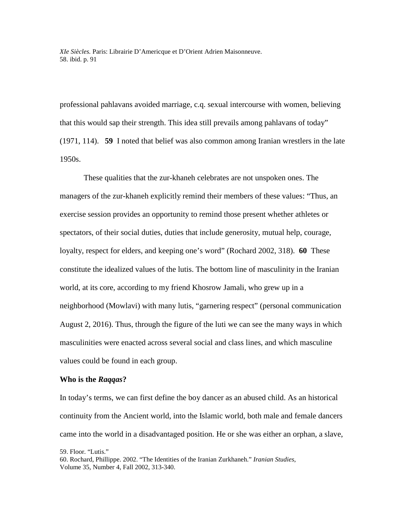*XIe Siècles.* Paris: Librairie D'Americque et D'Orient Adrien Maisonneuve. 58. ibid. p. 91

professional pahlavans avoided marriage, c.q. sexual intercourse with women, believing that this would sap their strength. This idea still prevails among pahlavans of today" (1971, 114). **59** I noted that belief was also common among Iranian wrestlers in the late 1950s.

These qualities that the zur-khaneh celebrates are not unspoken ones. The managers of the zur-khaneh explicitly remind their members of these values: "Thus, an exercise session provides an opportunity to remind those present whether athletes or spectators, of their social duties, duties that include generosity, mutual help, courage, loyalty, respect for elders, and keeping one's word" (Rochard 2002, 318). **60** These constitute the idealized values of the lutis. The bottom line of masculinity in the Iranian world, at its core, according to my friend Khosrow Jamali, who grew up in a neighborhood (Mowlavi) with many lutis, "garnering respect" (personal communication August 2, 2016). Thus, through the figure of the luti we can see the many ways in which masculinities were enacted across several social and class lines, and which masculine values could be found in each group.

#### **Who is the** *Raqqas***?**

In today's terms, we can first define the boy dancer as an abused child. As an historical continuity from the Ancient world, into the Islamic world, both male and female dancers came into the world in a disadvantaged position. He or she was either an orphan, a slave,

59. Floor. "Lutis."

<sup>60.</sup> Rochard, Phillippe. 2002. "The Identities of the Iranian Zurkhaneh." *Iranian Studies*, Volume 35, Number 4, Fall 2002, 313-340.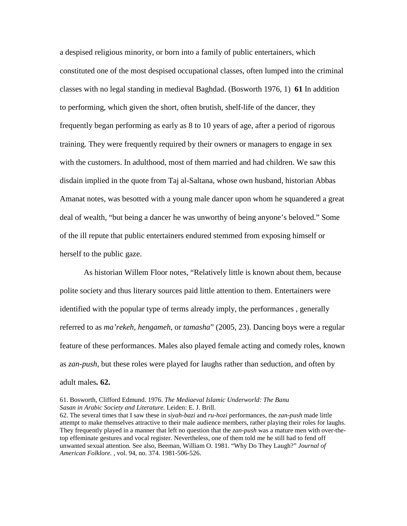a despised religious minority, or born into a family of public entertainers, which constituted one of the most despised occupational classes, often lumped into the criminal classes with no legal standing in medieval Baghdad. (Bosworth 1976, 1) **61** In addition to performing, which given the short, often brutish, shelf-life of the dancer, they frequently began performing as early as 8 to 10 years of age, after a period of rigorous training. They were frequently required by their owners or managers to engage in sex with the customers. In adulthood, most of them married and had children. We saw this disdain implied in the quote from Taj al-Saltana, whose own husband, historian Abbas Amanat notes, was besotted with a young male dancer upon whom he squandered a great deal of wealth, "but being a dancer he was unworthy of being anyone's beloved." Some of the ill repute that public entertainers endured stemmed from exposing himself or herself to the public gaze.

As historian Willem Floor notes, "Relatively little is known about them, because polite society and thus literary sources paid little attention to them. Entertainers were identified with the popular type of terms already imply, the performances , generally referred to as *ma'rekeh, hengameh*, or *tamasha*" (2005, 23). Dancing boys were a regular feature of these performances. Males also played female acting and comedy roles, known as *zan-push*, but these roles were played for laughs rather than seduction, and often by adult males*.* **62.**

<sup>61.</sup> Bosworth, Clifford Edmund. 1976. *The Mediaeval Islamic Underworld: The Banu Sasan in Arabic Society and Literature*. Leiden: E. J. Brill.

<sup>62.</sup> The several times that I saw these in *siyah-bazi* and *ru-hozi* performances, the *zan-push* made little attempt to make themselves attractive to their male audience members, rather playing their roles for laughs. They frequently played in a manner that left no question that the *zan-push* was a mature men with over-thetop effeminate gestures and vocal register. Nevertheless, one of them told me he still had to fend off unwanted sexual attention. See also, Beeman, William O. 1981. "Why Do They Laugh?" *Journal of American Folklore.* , vol. 94, no. 374. 1981-506-526.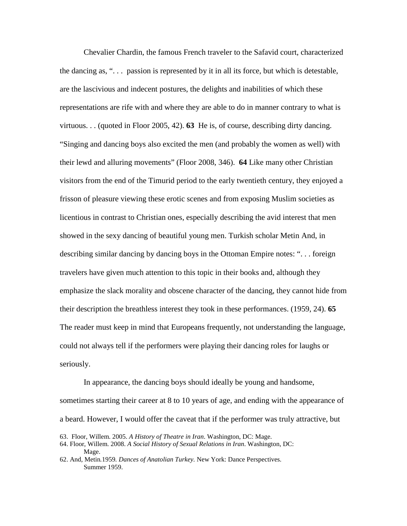Chevalier Chardin, the famous French traveler to the Safavid court, characterized the dancing as, " $\ldots$  passion is represented by it in all its force, but which is detestable, are the lascivious and indecent postures, the delights and inabilities of which these representations are rife with and where they are able to do in manner contrary to what is virtuous. . . (quoted in Floor 2005, 42). **63** He is, of course, describing dirty dancing. "Singing and dancing boys also excited the men (and probably the women as well) with their lewd and alluring movements" (Floor 2008, 346). **64** Like many other Christian visitors from the end of the Timurid period to the early twentieth century, they enjoyed a frisson of pleasure viewing these erotic scenes and from exposing Muslim societies as licentious in contrast to Christian ones, especially describing the avid interest that men showed in the sexy dancing of beautiful young men. Turkish scholar Metin And, in describing similar dancing by dancing boys in the Ottoman Empire notes: ". . . foreign travelers have given much attention to this topic in their books and, although they emphasize the slack morality and obscene character of the dancing, they cannot hide from their description the breathless interest they took in these performances. (1959, 24). **65** The reader must keep in mind that Europeans frequently, not understanding the language, could not always tell if the performers were playing their dancing roles for laughs or seriously.

In appearance, the dancing boys should ideally be young and handsome,

sometimes starting their career at 8 to 10 years of age, and ending with the appearance of a beard. However, I would offer the caveat that if the performer was truly attractive, but

<sup>63.</sup> Floor, Willem. 2005. *A History of Theatre in Iran*. Washington, DC: Mage.

<sup>64.</sup> Floor, Willem. 2008. *A Social History of Sexual Relations in Iran*. Washington, DC: Mage.

<sup>62.</sup> And*,* Metin*.*1959*. Dances of Anatolian Turkey.* New York: Dance Perspectives. Summer 1959.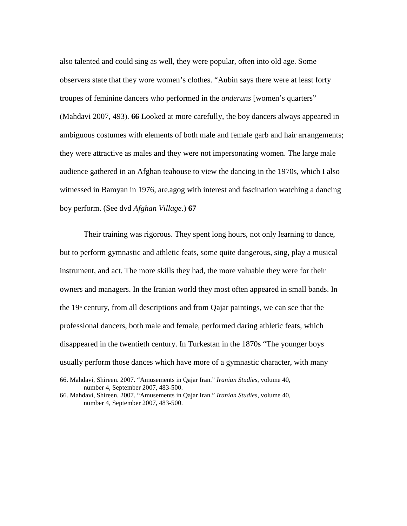also talented and could sing as well, they were popular, often into old age. Some observers state that they wore women's clothes. "Aubin says there were at least forty troupes of feminine dancers who performed in the *anderuns* [women's quarters" (Mahdavi 2007, 493). **66** Looked at more carefully, the boy dancers always appeared in ambiguous costumes with elements of both male and female garb and hair arrangements; they were attractive as males and they were not impersonating women. The large male audience gathered in an Afghan teahouse to view the dancing in the 1970s, which I also witnessed in Bamyan in 1976, are.agog with interest and fascination watching a dancing boy perform. (See dvd *Afghan Village*.) **67**

Their training was rigorous. They spent long hours, not only learning to dance, but to perform gymnastic and athletic feats, some quite dangerous, sing, play a musical instrument, and act. The more skills they had, the more valuable they were for their owners and managers. In the Iranian world they most often appeared in small bands. In the  $19<sup>th</sup>$  century, from all descriptions and from Qajar paintings, we can see that the professional dancers, both male and female, performed daring athletic feats, which disappeared in the twentieth century. In Turkestan in the 1870s "The younger boys usually perform those dances which have more of a gymnastic character, with many

<sup>66.</sup> Mahdavi, Shireen. 2007. "Amusements in Qajar Iran." *Iranian Studies*, volume 40, number 4, September 2007, 483-500.

<sup>66.</sup> Mahdavi, Shireen. 2007. "Amusements in Qajar Iran." *Iranian Studies*, volume 40, number 4, September 2007, 483-500.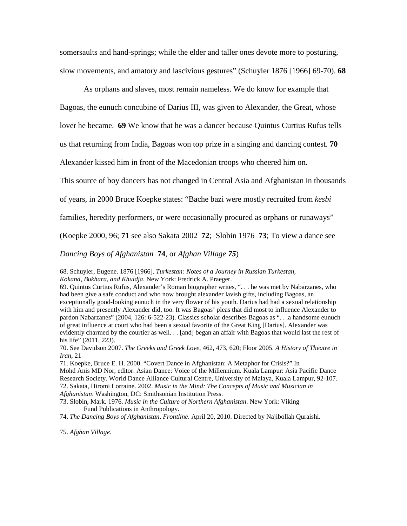somersaults and hand-springs; while the elder and taller ones devote more to posturing, slow movements, and amatory and lascivious gestures" (Schuyler 1876 [1966] 69-70). **68**

As orphans and slaves, most remain nameless. We do know for example that

Bagoas, the eunuch concubine of Darius III, was given to Alexander, the Great, whose

lover he became. **69** We know that he was a dancer because Quintus Curtius Rufus tells

us that returning from India, Bagoas won top prize in a singing and dancing contest. **70**

Alexander kissed him in front of the Macedonian troops who cheered him on.

This source of boy dancers has not changed in Central Asia and Afghanistan in thousands

of years, in 2000 Bruce Koepke states: "Bache bazi were mostly recruited from *kesbi*

families, heredity performers, or were occasionally procured as orphans or runaways"

(Koepke 2000, 96; **71** see also Sakata 2002 **72**; Slobin 1976 **73**; To view a dance see

*Dancing Boys of Afghanistan* **74**, or *Afghan Village 75*)

68. Schuyler, Eugene. 1876 [1966]. *Turkestan: Notes of a Journey in Russian Turkestan, Kokand, Bukhara, and Khuldja*. New York: Fredrick A. Praeger.

69. Quintus Curtius Rufus, Alexander's Roman biographer writes, ". . . he was met by Nabarzanes, who had been give a safe conduct and who now brought alexander lavish gifts, including Bagoas, an exceptionally good-looking eunuch in the very flower of his youth. Darius had had a sexual relationship with him and presently Alexander did, too. It was Bagoas' pleas that did most to influence Alexander to pardon Nabarzanes" (2004, 126: 6-522-23). Classics scholar describes Bagoas as ". . .a handsome eunuch of great influence at court who had been a sexual favorite of the Great King [Darius]. Alexander was evidently charmed by the courtier as well. . . [and] began an affair with Bagoas that would last the rest of his life" (2011, 223).

70. See Davidson 2007. *The Greeks and Greek Love*, 462, 473, 620; Floor 2005. *A History of Theatre in Iran*, 21

71. Koepke, Bruce E. H. 2000. "Covert Dance in Afghanistan: A Metaphor for Crisis?" In Mohd Anis MD Nor, editor. Asian Dance: Voice of the Millennium. Kuala Lampur: Asia Pacific Dance Research Society. World Dance Alliance Cultural Centre, University of Malaya, Kuala Lampur, 92-107. 72. Sakata, Hiromi Lorraine. 2002. *Music in the Mind: The Concepts of Music and Musician in Afghanistan*. Washington, DC: Smithsonian Institution Press.

73. Slobin, Mark. 1976. *Music in the Culture of Northern Afghanistan*. New York: Viking Fund Publications in Anthropology.

74. *The Dancing Boys of Afghanistan*. *Frontline*. April 20, 2010. Directed by Najibollah Quraishi.

75. *Afghan Village*.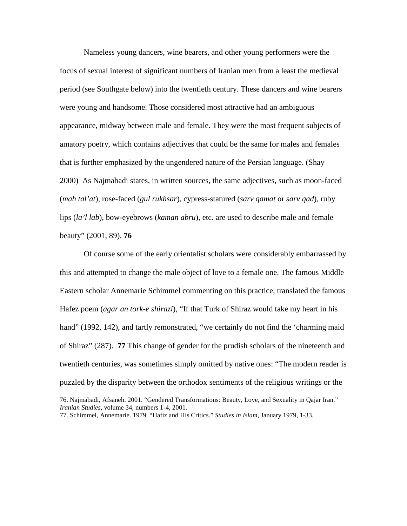Nameless young dancers, wine bearers, and other young performers were the focus of sexual interest of significant numbers of Iranian men from a least the medieval period (see Southgate below) into the twentieth century. These dancers and wine bearers were young and handsome. Those considered most attractive had an ambiguous appearance, midway between male and female. They were the most frequent subjects of amatory poetry, which contains adjectives that could be the same for males and females that is further emphasized by the ungendered nature of the Persian language. (Shay 2000) As Najmabadi states, in written sources, the same adjectives, such as moon-faced (*mah tal'at*), rose-faced (*gul rukhsar*), cypress-statured (*sarv qamat* or *sarv qad*), ruby lips (*la'l lab*), bow-eyebrows (*kaman abru*), etc. are used to describe male and female beauty" (2001, 89). **76**

Of course some of the early orientalist scholars were considerably embarrassed by this and attempted to change the male object of love to a female one. The famous Middle Eastern scholar Annemarie Schimmel commenting on this practice, translated the famous Hafez poem (*agar an tork-e shirazi*), "If that Turk of Shiraz would take my heart in his hand" (1992, 142), and tartly remonstrated, "we certainly do not find the 'charming maid of Shiraz" (287). **77** This change of gender for the prudish scholars of the nineteenth and twentieth centuries, was sometimes simply omitted by native ones: "The modern reader is puzzled by the disparity between the orthodox sentiments of the religious writings or the 76. Najmabadi, Afsaneh. 2001. "Gendered Transformations: Beauty, Love, and Sexuality in Qajar Iran."

*Iranian Studies*, volume 34, numbers 1-4, 2001.

<sup>77.</sup> Schimmel, Annemarie. 1979. "Hafiz and His Critics." *Studies in Islam*, January 1979, 1-33.